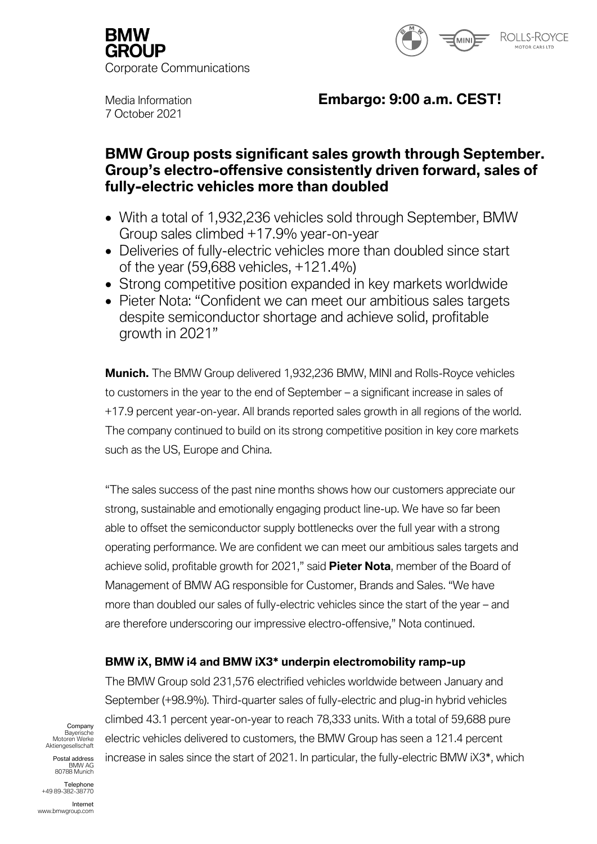



7 October 2021

# Media Information **Embargo: 9:00 a.m. CEST!**

# **BMW Group posts significant sales growth through September. Group's electro-offensive consistently driven forward, sales of fully-electric vehicles more than doubled**

- With a total of 1,932,236 vehicles sold through September, BMW Group sales climbed +17.9% year-on-year
- Deliveries of fully-electric vehicles more than doubled since start of the year (59,688 vehicles, +121.4%)
- Strong competitive position expanded in key markets worldwide
- Pieter Nota: "Confident we can meet our ambitious sales targets despite semiconductor shortage and achieve solid, profitable growth in 2021"

**Munich.** The BMW Group delivered 1,932,236 BMW, MINI and Rolls-Royce vehicles to customers in the year to the end of September – a significant increase in sales of +17.9 percent year-on-year. All brands reported sales growth in all regions of the world. The company continued to build on its strong competitive position in key core markets such as the US, Europe and China.

"The sales success of the past nine months shows how our customers appreciate our strong, sustainable and emotionally engaging product line-up. We have so far been able to offset the semiconductor supply bottlenecks over the full year with a strong operating performance. We are confident we can meet our ambitious sales targets and achieve solid, profitable growth for 2021," said **Pieter Nota**, member of the Board of Management of BMW AG responsible for Customer, Brands and Sales. "We have more than doubled our sales of fully-electric vehicles since the start of the year – and are therefore underscoring our impressive electro-offensive," Nota continued.

# **BMW iX, BMW i4 and BMW iX3\* underpin electromobility ramp-up**

The BMW Group sold 231,576 electrified vehicles worldwide between January and September (+98.9%). Third-quarter sales of fully-electric and plug-in hybrid vehicles climbed 43.1 percent year-on-year to reach 78,333 units. With a total of 59,688 pure electric vehicles delivered to customers, the BMW Group has seen a 121.4 percent increase in sales since the start of 2021. In particular, the fully-electric BMW iX3\*, which

Company Bayerische Motoren Werke Aktiengesellschaft

Postal address BMW AG 80788 Munich

Telephone +49 89-382-38770

Internet www.bmwgroup.com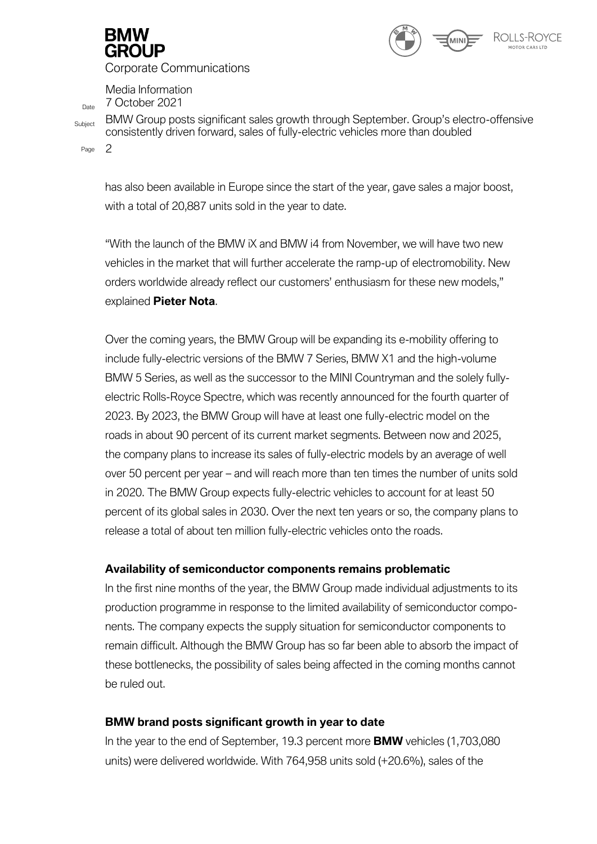



Media Information  $D_{\text{Date}}$  7 October 2021

Subject BMW Group posts significant sales growth through September. Group's electro-offensive consistently driven forward, sales of fully-electric vehicles more than doubled

Page 2

has also been available in Europe since the start of the year, gave sales a major boost, with a total of 20,887 units sold in the year to date.

"With the launch of the BMW iX and BMW i4 from November, we will have two new vehicles in the market that will further accelerate the ramp-up of electromobility. New orders worldwide already reflect our customers' enthusiasm for these new models," explained **Pieter Nota**.

Over the coming years, the BMW Group will be expanding its e-mobility offering to include fully-electric versions of the BMW 7 Series, BMW X1 and the high-volume BMW 5 Series, as well as the successor to the MINI Countryman and the solely fullyelectric Rolls-Royce Spectre, which was recently announced for the fourth quarter of 2023. By 2023, the BMW Group will have at least one fully-electric model on the roads in about 90 percent of its current market segments. Between now and 2025, the company plans to increase its sales of fully-electric models by an average of well over 50 percent per year – and will reach more than ten times the number of units sold in 2020. The BMW Group expects fully-electric vehicles to account for at least 50 percent of its global sales in 2030. Over the next ten years or so, the company plans to release a total of about ten million fully-electric vehicles onto the roads.

## **Availability of semiconductor components remains problematic**

In the first nine months of the year, the BMW Group made individual adjustments to its production programme in response to the limited availability of semiconductor components. The company expects the supply situation for semiconductor components to remain difficult. Although the BMW Group has so far been able to absorb the impact of these bottlenecks, the possibility of sales being affected in the coming months cannot be ruled out.

## **BMW brand posts significant growth in year to date**

In the year to the end of September, 19.3 percent more **BMW** vehicles (1,703,080 units) were delivered worldwide. With 764,958 units sold (+20.6%), sales of the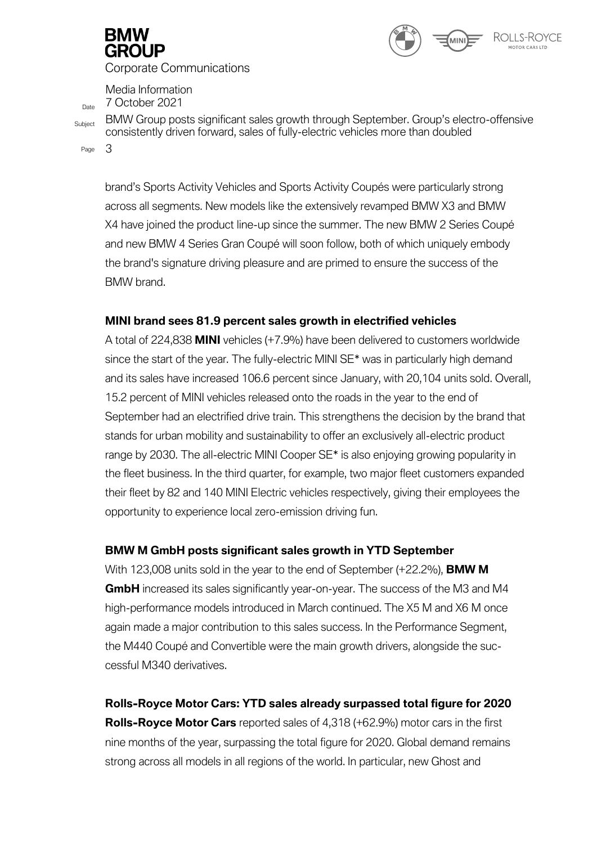

Media Information  $D_{\text{Date}}$  7 October 2021

Subject BMW Group posts significant sales growth through September. Group's electro-offensive consistently driven forward, sales of fully-electric vehicles more than doubled

Page 3

brand's Sports Activity Vehicles and Sports Activity Coupés were particularly strong across all segments. New models like the extensively revamped BMW X3 and BMW X4 have joined the product line-up since the summer. The new BMW 2 Series Coupé and new BMW 4 Series Gran Coupé will soon follow, both of which uniquely embody the brand's signature driving pleasure and are primed to ensure the success of the BMW brand.

# **MINI brand sees 81.9 percent sales growth in electrified vehicles**

A total of 224,838 **MINI** vehicles (+7.9%) have been delivered to customers worldwide since the start of the year. The fully-electric MINI SE<sup>\*</sup> was in particularly high demand and its sales have increased 106.6 percent since January, with 20,104 units sold. Overall, 15.2 percent of MINI vehicles released onto the roads in the year to the end of September had an electrified drive train. This strengthens the decision by the brand that stands for urban mobility and sustainability to offer an exclusively all-electric product range by 2030. The all-electric MINI Cooper SE\* is also enjoying growing popularity in the fleet business. In the third quarter, for example, two major fleet customers expanded their fleet by 82 and 140 MINI Electric vehicles respectively, giving their employees the opportunity to experience local zero-emission driving fun.

# **BMW M GmbH posts significant sales growth in YTD September**

With 123,008 units sold in the year to the end of September (+22.2%), **BMW M GmbH** increased its sales significantly year-on-year. The success of the M3 and M4 high-performance models introduced in March continued. The X5 M and X6 M once again made a major contribution to this sales success. In the Performance Segment, the M440 Coupé and Convertible were the main growth drivers, alongside the successful M340 derivatives.

**Rolls-Royce Motor Cars: YTD sales already surpassed total figure for 2020 Rolls-Royce Motor Cars** reported sales of 4,318 (+62.9%) motor cars in the first nine months of the year, surpassing the total figure for 2020. Global demand remains strong across all models in all regions of the world. In particular, new Ghost and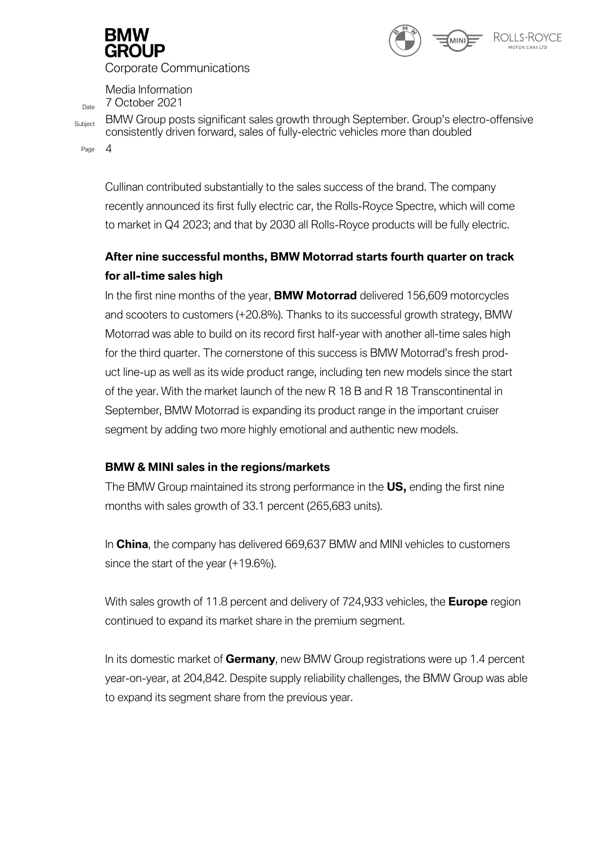

ROLLS-ROYCE

Corporate Communications

Media Information  $D_{\text{Date}}$  7 October 2021

Subject BMW Group posts significant sales growth through September. Group's electro-offensive consistently driven forward, sales of fully-electric vehicles more than doubled

Page 4

Cullinan contributed substantially to the sales success of the brand. The company recently announced its first fully electric car, the Rolls-Royce Spectre, which will come to market in Q4 2023; and that by 2030 all Rolls-Royce products will be fully electric.

# **After nine successful months, BMW Motorrad starts fourth quarter on track for all-time sales high**

In the first nine months of the year, **BMW Motorrad** delivered 156,609 motorcycles and scooters to customers (+20.8%). Thanks to its successful growth strategy, BMW Motorrad was able to build on its record first half-year with another all-time sales high for the third quarter. The cornerstone of this success is BMW Motorrad's fresh product line-up as well as its wide product range, including ten new models since the start of the year. With the market launch of the new R 18 B and R 18 Transcontinental in September, BMW Motorrad is expanding its product range in the important cruiser segment by adding two more highly emotional and authentic new models.

## **BMW & MINI sales in the regions/markets**

The BMW Group maintained its strong performance in the **US,** ending the first nine months with sales growth of 33.1 percent (265,683 units).

In **China**, the company has delivered 669,637 BMW and MINI vehicles to customers since the start of the year (+19.6%).

With sales growth of 11.8 percent and delivery of 724,933 vehicles, the **Europe** region continued to expand its market share in the premium segment.

In its domestic market of **Germany**, new BMW Group registrations were up 1.4 percent year-on-year, at 204,842. Despite supply reliability challenges, the BMW Group was able to expand its segment share from the previous year.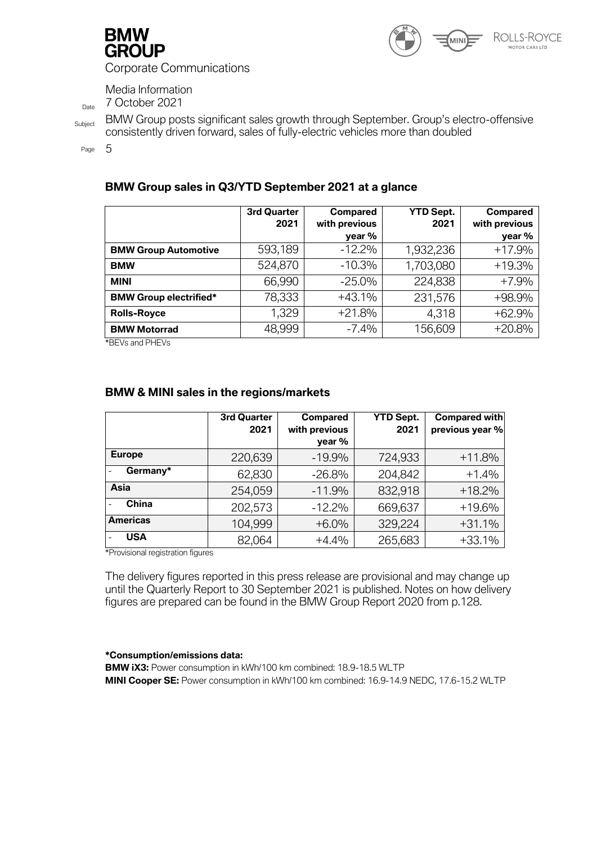



Media Information

 $D_{\text{date}}$  7 October 2021

Subject BMW Group posts significant sales growth through September. Group's electro-offensive

consistently driven forward, sales of fully-electric vehicles more than doubled

Page 5

## **BMW Group sales in Q3/YTD September 2021 at a glance**

|                               | 3rd Quarter<br>2021 | <b>Compared</b><br>with previous<br>year % | <b>YTD Sept.</b><br>2021 | <b>Compared</b><br>with previous<br>year % |
|-------------------------------|---------------------|--------------------------------------------|--------------------------|--------------------------------------------|
| <b>BMW Group Automotive</b>   | 593,189             | $-12.2%$                                   | 1,932,236                | $+17.9%$                                   |
| <b>BMW</b>                    | 524,870             | $-10.3%$                                   | 1,703,080                | $+19.3%$                                   |
| <b>MINI</b>                   | 66,990              | $-25.0%$                                   | 224,838                  | $+7.9%$                                    |
| <b>BMW Group electrified*</b> | 78,333              | $+43.1%$                                   | 231,576                  | +98.9%                                     |
| <b>Rolls-Royce</b>            | 1,329               | $+21.8%$                                   | 4,318                    | $+62.9%$                                   |
| <b>BMW Motorrad</b>           | 48,999              | $-7.4%$                                    | 156,609                  | $+20.8%$                                   |

\*BEVs and PHEVs

# **BMW & MINI sales in the regions/markets**

|                 | 3rd Quarter | <b>Compared</b>         | <b>YTD Sept.</b> | Compared with   |
|-----------------|-------------|-------------------------|------------------|-----------------|
|                 | 2021        | with previous<br>year % | 2021             | previous year % |
| <b>Europe</b>   | 220,639     | $-19.9%$                | 724,933          | $+11.8%$        |
| Germany*        | 62,830      | $-26.8%$                | 204,842          | $+1.4%$         |
| Asia            | 254,059     | $-11.9%$                | 832,918          | $+18.2%$        |
| <b>China</b>    | 202,573     | $-12.2%$                | 669,637          | $+19.6%$        |
| <b>Americas</b> | 104,999     | $+6.0%$                 | 329,224          | $+31.1%$        |
| <b>USA</b>      | 82,064      | $+4.4%$                 | 265,683          | $+33.1%$        |

\*Provisional registration figures

The delivery figures reported in this press release are provisional and may change up until the Quarterly Report to 30 September 2021 is published. Notes on how delivery figures are prepared can be found in the BMW Group Report 2020 from p.128.

#### **\*Consumption/emissions data:**

**BMW iX3:** Power consumption in kWh/100 km combined: 18.9-18.5 WLTP **MINI Cooper SE:** Power consumption in kWh/100 km combined: 16.9-14.9 NEDC, 17.6-15.2 WLTP